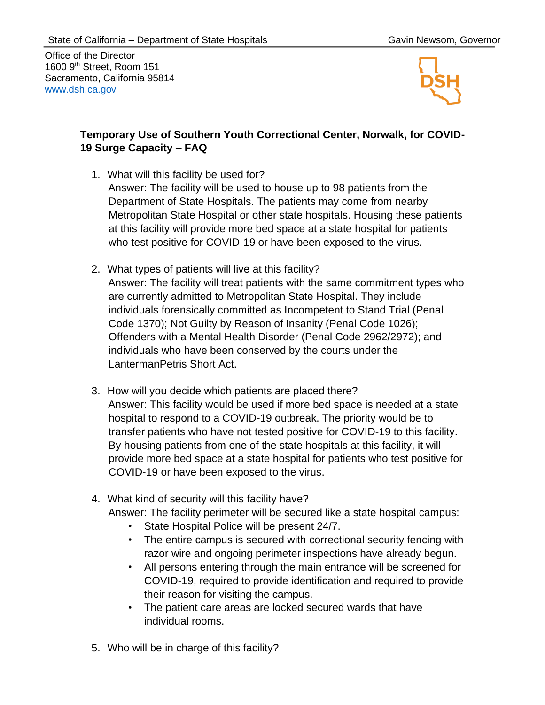Office of the Director 1600 9<sup>th</sup> Street, Room 151 Sacramento, California 95814 [www.dsh.ca.gov](https://www.dsh.ca.gov/)



## **Temporary Use of Southern Youth Correctional Center, Norwalk, for COVID-19 Surge Capacity – FAQ**

1. What will this facility be used for?

Answer: The facility will be used to house up to 98 patients from the Department of State Hospitals. The patients may come from nearby Metropolitan State Hospital or other state hospitals. Housing these patients at this facility will provide more bed space at a state hospital for patients who test positive for COVID-19 or have been exposed to the virus.

- 2. What types of patients will live at this facility? Answer: The facility will treat patients with the same commitment types who are currently admitted to Metropolitan State Hospital. They include individuals forensically committed as Incompetent to Stand Trial (Penal Code 1370); Not Guilty by Reason of Insanity (Penal Code 1026); Offenders with a Mental Health Disorder (Penal Code 2962/2972); and individuals who have been conserved by the courts under the LantermanPetris Short Act.
- 3. How will you decide which patients are placed there? Answer: This facility would be used if more bed space is needed at a state hospital to respond to a COVID-19 outbreak. The priority would be to transfer patients who have not tested positive for COVID-19 to this facility. By housing patients from one of the state hospitals at this facility, it will provide more bed space at a state hospital for patients who test positive for COVID-19 or have been exposed to the virus.
- 4. What kind of security will this facility have?
	- Answer: The facility perimeter will be secured like a state hospital campus:
		- State Hospital Police will be present 24/7.
		- The entire campus is secured with correctional security fencing with razor wire and ongoing perimeter inspections have already begun.
		- All persons entering through the main entrance will be screened for COVID-19, required to provide identification and required to provide their reason for visiting the campus.
		- The patient care areas are locked secured wards that have individual rooms.
- 5. Who will be in charge of this facility?